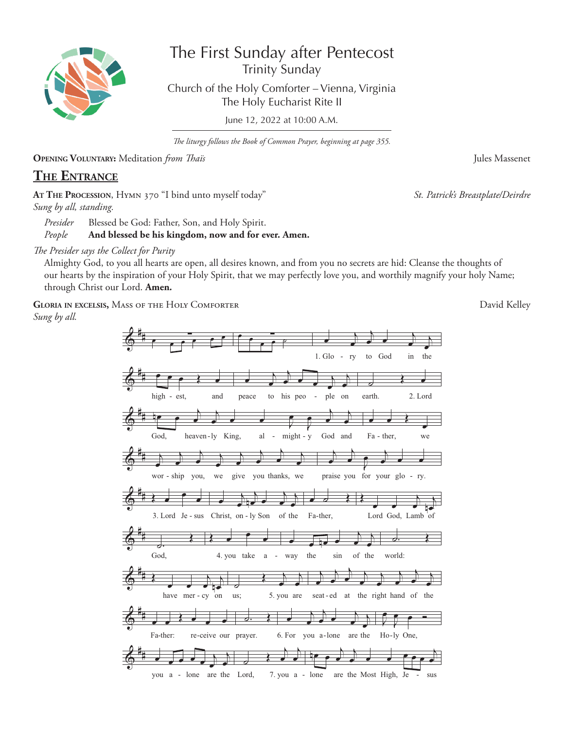

# The First Sunday after Pentecost Trinity Sunday

Church of the Holy Comforter – Vienna, Virginia The Holy Eucharist Rite II

June 12, 2022 at 10:00 A.M.

*The liturgy follows the Book of Common Prayer, beginning at page 355.*

**Opening Voluntary:** Meditation *from Thaïs* Jules Massenet

# **The Entrance**

**At The Procession**, Hymn 370 "I bind unto myself today" *St. Patrick's Breastplate/Deirdre Sung by all, standing.*

*Presider* Blessed be God: Father, Son, and Holy Spirit.

### *People* **And blessed be his kingdom, now and for ever. Amen.**

*The Presider says the Collect for Purity*

Almighty God, to you all hearts are open, all desires known, and from you no secrets are hid: Cleanse the thoughts of our hearts by the inspiration of your Holy Spirit, that we may perfectly love you, and worthily magnify your holy Name; through Christ our Lord. **Amen***.*

**Gloria in excelsis,** Mass of the Holy Comforter David Kelley *Sung by all.*

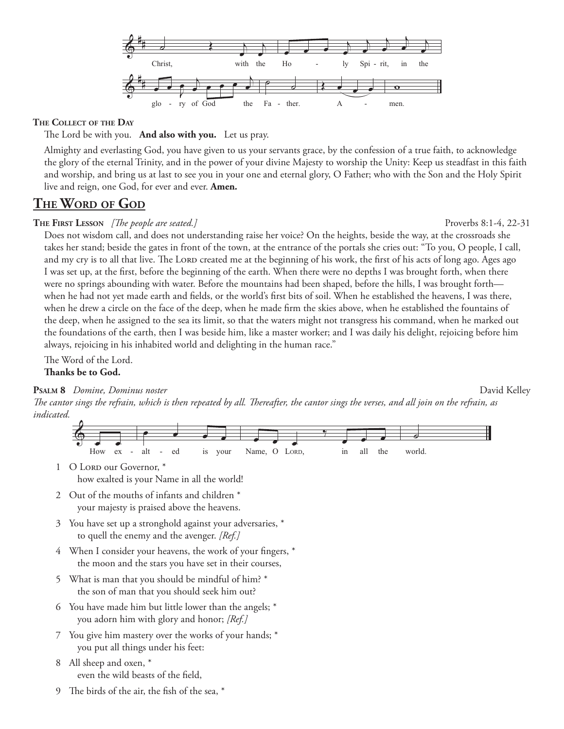

#### **The Collect of the Day**

The Lord be with you. **And also with you.** Let us pray.

Almighty and everlasting God, you have given to us your servants grace, by the confession of a true faith, to acknowledge the glory of the eternal Trinity, and in the power of your divine Majesty to worship the Unity: Keep us steadfast in this faith and worship, and bring us at last to see you in your one and eternal glory, O Father; who with the Son and the Holy Spirit live and reign, one God, for ever and ever. **Amen***.*

# **The Word of God**

#### **The First Lesson** *[The people are seated.]* Proverbs 8:1-4, 22-31

Does not wisdom call, and does not understanding raise her voice? On the heights, beside the way, at the crossroads she takes her stand; beside the gates in front of the town, at the entrance of the portals she cries out: "To you, O people, I call, and my cry is to all that live. The Lord created me at the beginning of his work, the first of his acts of long ago. Ages ago I was set up, at the first, before the beginning of the earth. When there were no depths I was brought forth, when there were no springs abounding with water. Before the mountains had been shaped, before the hills, I was brought forth when he had not yet made earth and fields, or the world's first bits of soil. When he established the heavens, I was there, when he drew a circle on the face of the deep, when he made firm the skies above, when he established the fountains of the deep, when he assigned to the sea its limit, so that the waters might not transgress his command, when he marked out the foundations of the earth, then I was beside him, like a master worker; and I was daily his delight, rejoicing before him always, rejoicing in his inhabited world and delighting in the human race."

The Word of the Lord.

#### **Thanks be to God.**

**Psalm 8** *Domine, Dominus noster* David Kelley

*The cantor sings the refrain, which is then repeated by all. Thereafter, the cantor sings the verses, and all join on the refrain, as indicated.*



- 1 O LORD our Governor, \* how exalted is your Name in all the world!
- 2 Out of the mouths of infants and children \* your majesty is praised above the heavens.
- 3 You have set up a stronghold against your adversaries, \* to quell the enemy and the avenger. *[Ref.]*
- 4 When I consider your heavens, the work of your fingers, \* the moon and the stars you have set in their courses,
- 5 What is man that you should be mindful of him? \* the son of man that you should seek him out?
- 6 You have made him but little lower than the angels; \* you adorn him with glory and honor; *[Ref.]*
- 7 You give him mastery over the works of your hands; \* you put all things under his feet:
- 8 All sheep and oxen, \* even the wild beasts of the field,
- 9 The birds of the air, the fish of the sea, \*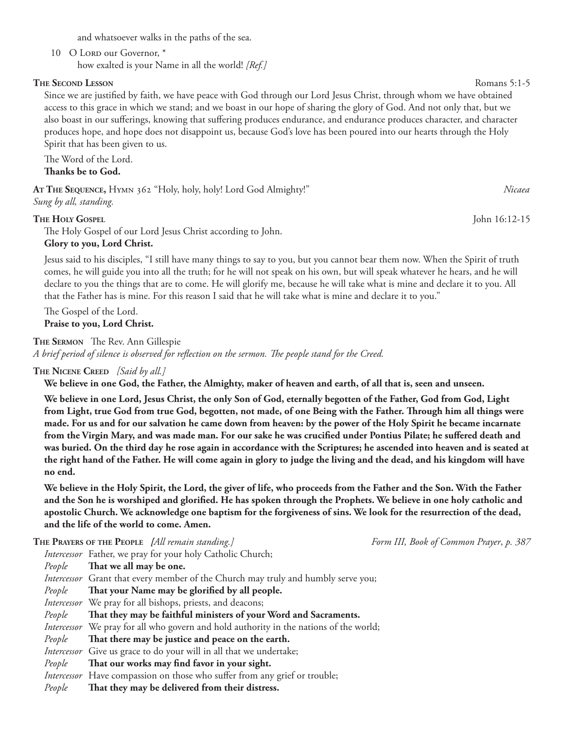and whatsoever walks in the paths of the sea.

10 O Lord our Governor,  $*$ 

how exalted is your Name in all the world! *[Ref.]*

#### **The Second Lesson** Romans 5:1-5

Since we are justified by faith, we have peace with God through our Lord Jesus Christ, through whom we have obtained access to this grace in which we stand; and we boast in our hope of sharing the glory of God. And not only that, but we also boast in our sufferings, knowing that suffering produces endurance, and endurance produces character, and character produces hope, and hope does not disappoint us, because God's love has been poured into our hearts through the Holy Spirit that has been given to us.

The Word of the Lord. **Thanks be to God.**

**At The Sequence,** Hymn 362 "Holy, holy, holy! Lord God Almighty!" *Nicaea Sung by all, standing.*

#### **THE HOLY GOSPEL** John 16:12-15

The Holy Gospel of our Lord Jesus Christ according to John. **Glory to you, Lord Christ.**

Jesus said to his disciples, "I still have many things to say to you, but you cannot bear them now. When the Spirit of truth comes, he will guide you into all the truth; for he will not speak on his own, but will speak whatever he hears, and he will declare to you the things that are to come. He will glorify me, because he will take what is mine and declare it to you. All that the Father has is mine. For this reason I said that he will take what is mine and declare it to you."

The Gospel of the Lord.

**Praise to you, Lord Christ.**

**The Sermon** The Rev. Ann Gillespie

*A brief period of silence is observed for reflection on the sermon. The people stand for the Creed.*

#### **The Nicene Creed** *[Said by all.]*

**We believe in one God, the Father, the Almighty, maker of heaven and earth, of all that is, seen and unseen.**

**We believe in one Lord, Jesus Christ, the only Son of God, eternally begotten of the Father, God from God, Light from Light, true God from true God, begotten, not made, of one Being with the Father. Through him all things were made. For us and for our salvation he came down from heaven: by the power of the Holy Spirit he became incarnate from the Virgin Mary, and was made man. For our sake he was crucified under Pontius Pilate; he suffered death and was buried. On the third day he rose again in accordance with the Scriptures; he ascended into heaven and is seated at the right hand of the Father. He will come again in glory to judge the living and the dead, and his kingdom will have no end.**

**We believe in the Holy Spirit, the Lord, the giver of life, who proceeds from the Father and the Son. With the Father and the Son he is worshiped and glorified. He has spoken through the Prophets. We believe in one holy catholic and apostolic Church. We acknowledge one baptism for the forgiveness of sins. We look for the resurrection of the dead, and the life of the world to come. Amen.**

**The Prayers of the People** *[All remain standing.] Form III, Book of Common Prayer*, *p. 387 Intercessor* Father, we pray for your holy Catholic Church; *People* **That we all may be one.** *Intercessor* Grant that every member of the Church may truly and humbly serve you; *People* **That your Name may be glorified by all people.** *Intercessor* We pray for all bishops, priests, and deacons; *People* **That they may be faithful ministers of your Word and Sacraments.** *Intercessor* We pray for all who govern and hold authority in the nations of the world; *People* **That there may be justice and peace on the earth.** *Intercessor* Give us grace to do your will in all that we undertake; *People* **That our works may find favor in your sight.** *Intercessor* Have compassion on those who suffer from any grief or trouble; *People* **That they may be delivered from their distress.**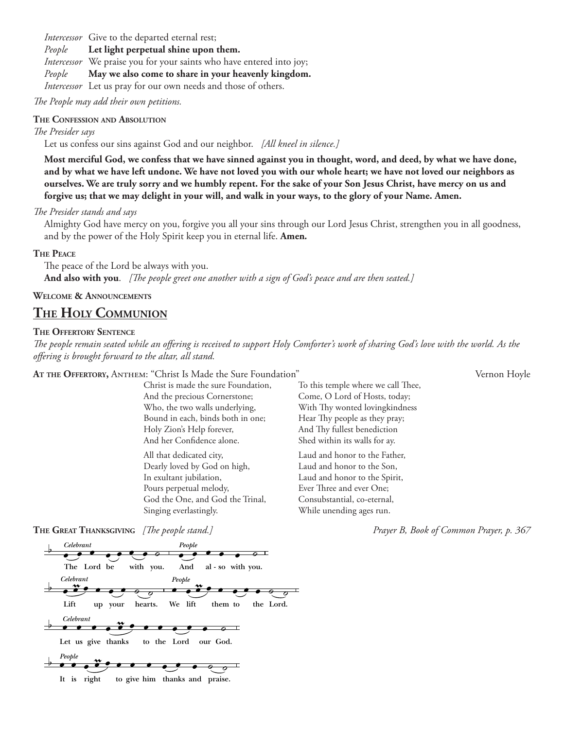*Intercessor* Give to the departed eternal rest;

*People* **Let light perpetual shine upon them.**

*Intercessor* We praise you for your saints who have entered into joy;

*People* **May we also come to share in your heavenly kingdom.**

*Intercessor* Let us pray for our own needs and those of others.

*The People may add their own petitions.*

**The Confession and Absolution**

*The Presider says*

Let us confess our sins against God and our neighbor. *[All kneel in silence.]*

**Most merciful God, we confess that we have sinned against you in thought, word, and deed, by what we have done, and by what we have left undone. We have not loved you with our whole heart; we have not loved our neighbors as ourselves. We are truly sorry and we humbly repent. For the sake of your Son Jesus Christ, have mercy on us and forgive us; that we may delight in your will, and walk in your ways, to the glory of your Name. Amen.**

#### *The Presider stands and says*

Almighty God have mercy on you, forgive you all your sins through our Lord Jesus Christ, strengthen you in all goodness, and by the power of the Holy Spirit keep you in eternal life. **Amen***.*

#### **The Peace**

The peace of the Lord be always with you. **And also with you**. *[The people greet one another with a sign of God's peace and are then seated.]*

#### **Welcome & Announcements**

## **The Holy Communion**

#### **The Offertory Sentence**

*The people remain seated while an offering is received to support Holy Comforter's work of sharing God's love with the world. As the offering is brought forward to the altar, all stand.*

**At the Offertory,** Anthem: "Christ Is Made the Sure Foundation" Vernon Hoyle

Christ is made the sure Foundation, To this temple where we call Thee, And the precious Cornerstone; Come, O Lord of Hosts, today; Who, the two walls underlying, With Thy wonted loving kindness Bound in each, binds both in one; Hear Thy people as they pray; Holy Zion's Help forever, And Thy fullest benediction And her Confidence alone. Shed within its walls for ay.

All that dedicated city, Laud and honor to the Father, Dearly loved by God on high, Laud and honor to the Son, In exultant jubilation, Laud and honor to the Spirit, Pours perpetual melody, Ever Three and ever One; God the One, and God the Trinal, Consubstantial, co-eternal, Singing everlastingly. While unending ages run.

**The Great Thanksgiving** *[The people stand.] Prayer B, Book of Common Prayer, p. 367*

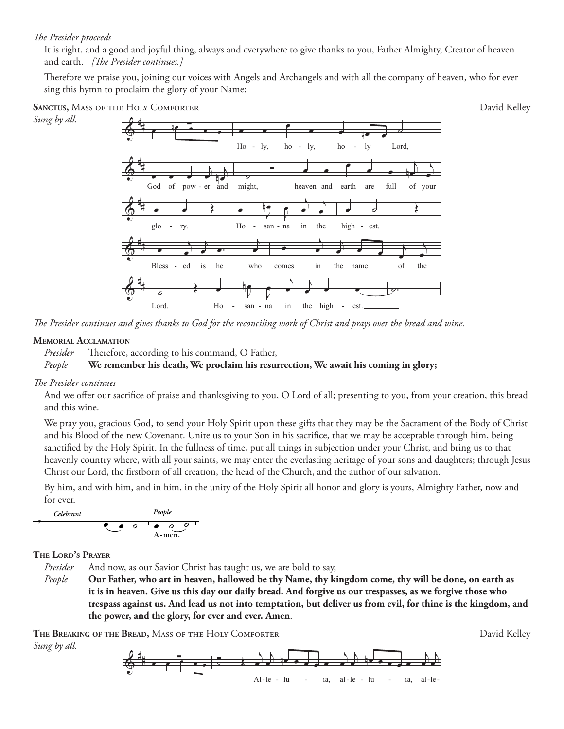#### *The Presider proceeds*

It is right, and a good and joyful thing, always and everywhere to give thanks to you, Father Almighty, Creator of heaven and earth. *[The Presider continues.]*

Therefore we praise you, joining our voices with Angels and Archangels and with all the company of heaven, who for ever sing this hymn to proclaim the glory of your Name:

#### **SANCTUS, MASS OF THE HOLY COMFORTER COMPOSER AND SERVICE OF A SERVICE OF A SERVICE OF A SERVICE OF A SERVICE O**

*Sung by all.* 



*The Presider continues and gives thanks to God for the reconciling work of Christ and prays over the bread and wine.*

#### **Memorial Acclamation**

*Presider* Therefore, according to his command, O Father,

*People* **We remember his death, We proclaim his resurrection, We await his coming in glory;**

#### *The Presider continues*

And we offer our sacrifice of praise and thanksgiving to you, O Lord of all; presenting to you, from your creation, this bread and this wine.

We pray you, gracious God, to send your Holy Spirit upon these gifts that they may be the Sacrament of the Body of Christ and his Blood of the new Covenant. Unite us to your Son in his sacrifice, that we may be acceptable through him, being sanctified by the Holy Spirit. In the fullness of time, put all things in subjection under your Christ, and bring us to that heavenly country where, with all your saints, we may enter the everlasting heritage of your sons and daughters; through Jesus Christ our Lord, the firstborn of all creation, the head of the Church, and the author of our salvation.

By him, and with him, and in him, in the unity of the Holy Spirit all honor and glory is yours, Almighty Father, now and for ever.

<sup>b</sup> œ œ ˙ œ ˙ ˙ A -men. *Celebrant People*

#### **The Lord's Prayer**

*Presider* And now, as our Savior Christ has taught us, we are bold to say,

*People* **Our Father, who art in heaven, hallowed be thy Name, thy kingdom come, thy will be done, on earth as it is in heaven. Give us this day our daily bread. And forgive us our trespasses, as we forgive those who trespass against us. And lead us not into temptation, but deliver us from evil, for thine is the kingdom, and the power, and the glory, for ever and ever. Amen**.

**The Breaking of the Bread,** Mass of the Holy Comforter David Kelley *Sung by all.*